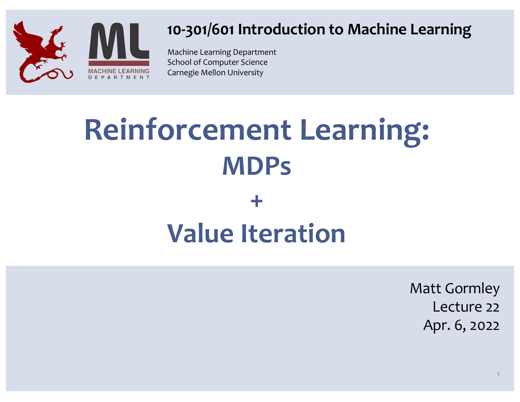

#### **10-301/601 Introduction to Machine Learning**

Machine Learning Department School of Computer Science Carnegie Mellon University

## **Reinforcement Learning: MDPs +**

# **Value Iteration**

Matt Gormley Lecture 22 Apr. 6, 2022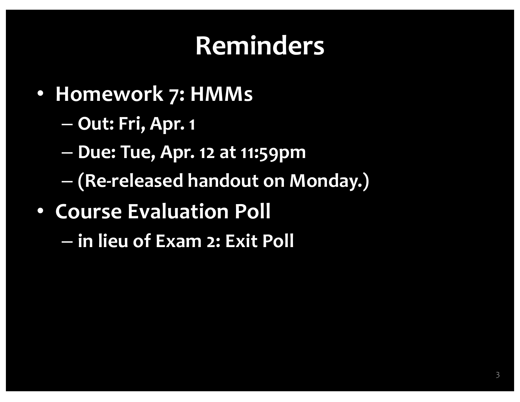## **Reminders**

- **Homework 7: HMMs**
	- **Out: Fri, Apr. 1**
	- **Due: Tue, Apr. 12 at 11:59pm**
	- **(Re-released handout on Monday.)**
- **Course Evaluation Poll**
	- **in lieu of Exam 2: Exit Poll**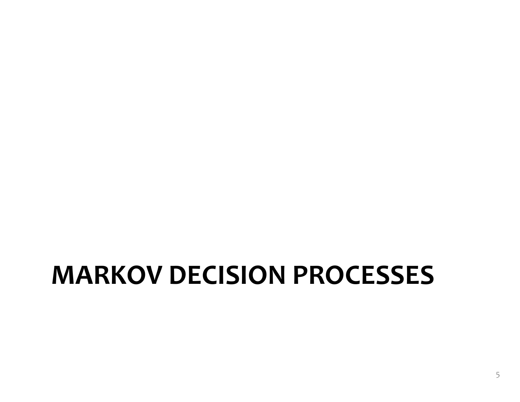### **MARKOV DECISION PROCESSES**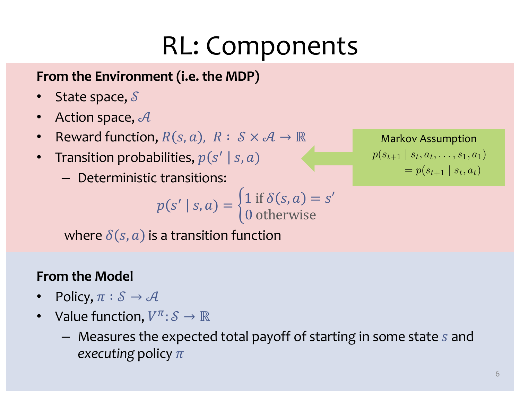## RL: Components

#### **From the Environment (i.e. the MDP)**

- State space,  $S$
- Action space,  $\mathcal A$
- Reward function,  $R(s, a)$ ,  $R: S \times A \rightarrow \mathbb{R}$
- Transition probabilities,  $p(s' | s, a)$ 
	- Deterministic transitions:

$$
p(s' \mid s, a) = \begin{cases} 1 \text{ if } \delta(s, a) = s' \\ 0 \text{ otherwise} \end{cases}
$$

where  $\delta(s, a)$  is a transition function

#### **From the Model**

- Policy,  $\pi : \mathcal{S} \to \mathcal{A}$
- Value function,  $V^{\pi}$ :  $S \to \mathbb{R}$ 
	- $-$  Measures the expected total payoff of starting in some state  $s$  and *executing* policy  $\pi$

Markov Assumption  $p(s_{t+1} | s_t, a_t, \ldots, s_1, a_1)$  $= p(s_{t+1} | s_t, a_t)$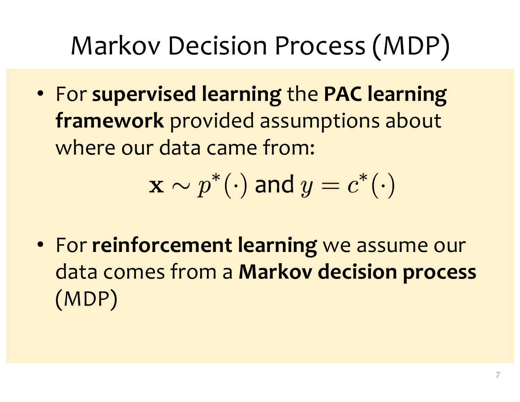# Markov Decision Process (MDP)

• For **supervised learning** the **PAC learning framework** provided assumptions about where our data came from:

$$
\mathbf{x} \sim p^*(\cdot) \text{ and } y = c^*(\cdot)
$$

• For **reinforcement learning** we assume our data comes from a **Markov decision process**  (MDP)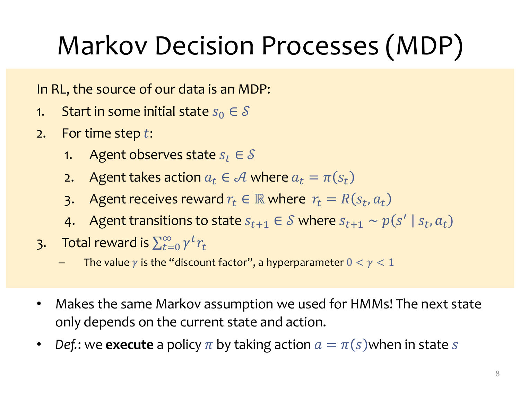# Markov Decision Processes (MDP)

In RL, the source of our data is an MDP:

- 1. Start in some initial state  $s_0 \in \mathcal{S}$
- 2. For time step  $t$ :
	- 1. Agent observes state  $s_t \in \mathcal{S}$
	- 2. Agent takes action  $a_t \in \mathcal{A}$  where  $a_t = \pi(s_t)$
	- 3. Agent receives reward  $r_t \in \mathbb{R}$  where  $r_t = R(s_t, a_t)$
	- 4. Agent transitions to state  $s_{t+1} \in S$  where  $s_{t+1} \sim p(s' | s_t, a_t)$
- 3. Total reward is  $\sum_{t=0}^{\infty} \gamma^t r_t$ 
	- The value  $\gamma$  is the "discount factor", a hyperparameter  $0 < \gamma < 1$
- Makes the same Markov assumption we used for HMMs! The next state only depends on the current state and action.
- *Def.*: we **execute** a policy  $\pi$  by taking action  $a = \pi(s)$  when in state s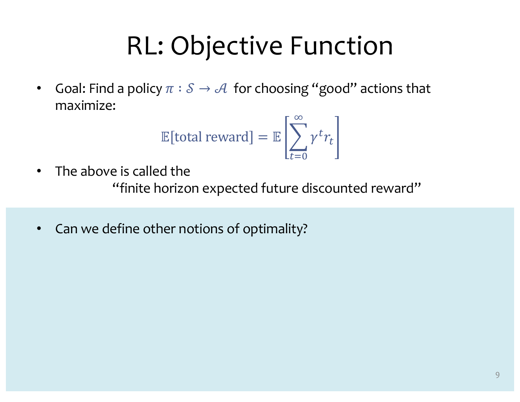### RL: Objective Function

• Goal: Find a policy  $\pi : \mathcal{S} \to \mathcal{A}$  for choosing "good" actions that maximize:

$$
\mathbb{E}[\text{total reward}] = \mathbb{E}\left[\sum_{t=0}^{\infty} \gamma^t r_t\right]
$$

- The above is called the "finite horizon expected future discounted reward"
- Can we define other notions of optimality?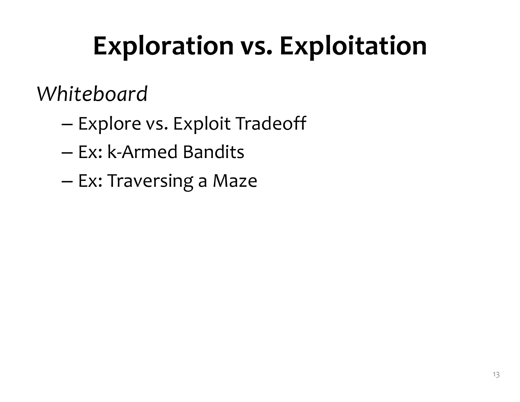# **Exploration vs. Exploitation**

#### *Whiteboard*

- Explore vs. Exploit Tradeoff
- Ex: k-Armed Bandits
- Ex: Traversing a Maze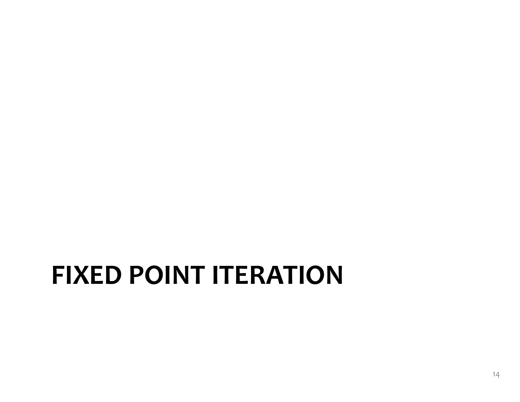#### **FIXED POINT ITERATION**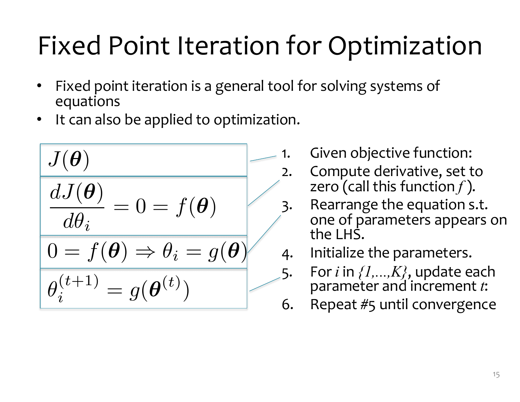- Fixed point iteration is a general tool for solving systems of equations
- It can also be applied to optimization.

$$
J(\theta)
$$
  
\n
$$
dJ(\theta)
$$
  
\n
$$
d\theta_i
$$
  
\n
$$
0 = f(\theta) \Rightarrow \theta_i = g(\theta)
$$
  
\n
$$
\theta_i^{(t+1)} = g(\theta^{(t)})
$$

- 1. Given objective function:
- 2. Compute derivative, set to zero (call this function *f* ).
- 3. Rearrange the equation s.t. one of parameters appears on the LHS.
- 4. Initialize the parameters.
- 5. For *<sup>i</sup>* in *{1,...,K}*, update each parameter and increment *<sup>t</sup>*:
- 6. Repeat #5 until convergence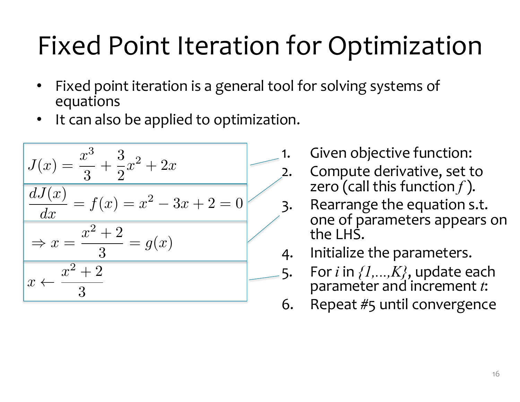- Fixed point iteration is a general tool for solving systems of equations
- It can also be applied to optimization.



- 1. Given objective function:
	- Compute derivative, set to zero (call this function *f* ).
- 3. Rearrange the equation s.t. one of parameters appears on the LHS.
- 4. Initialize the parameters.
- 5. For *<sup>i</sup>* in *{1,...,K}*, update each parameter and increment *<sup>t</sup>*:
- 6. Repeat #5 until convergence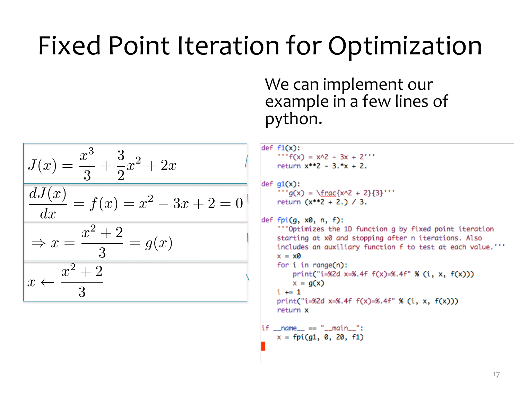We can implement our example in a few lines of python.

$$
J(x) = \frac{x^3}{3} + \frac{3}{2}x^2 + 2x
$$
  
\n
$$
\frac{dJ(x)}{dx} = f(x) = x^2 - 3x + 2 = 0
$$
  
\n
$$
\Rightarrow x = \frac{x^2 + 2}{3} = g(x)
$$
  
\n
$$
x \leftarrow \frac{x^2 + 2}{3}
$$

```
def f1(x):' '' f(x) = x^2 - 3x + 2'''
    return x^{**}2 - 3.*x + 2.
```

```
def g1(x):
    '' a(x) = \frac{x^2 + 2}{3}'''
    return (x**2 + 2.) / 3.
```

```
def fpi(q, x0, n, f):
    ""Optimizes the 1D function g by fixed point iteration
    starting at x0 and stopping after n iterations. Also
    includes an auxiliary function f to test at each value.""
    x = x0for i in range(n):
        print("i=%2d x=%.4f f(x)=8.4f'' % (i, x, f(x)))
        x = q(x)i \neq 1print("i=%2d x=%.4f f(x)=%.4f" % (i, x, f(x)))
    return x
```

$$
\begin{array}{rcl}\n\text{if } \_\text{name} = \text{""} & \text{main} \text{...} \\
\text{x = fpi(g1, 0, 20, f1)}\n\end{array}
$$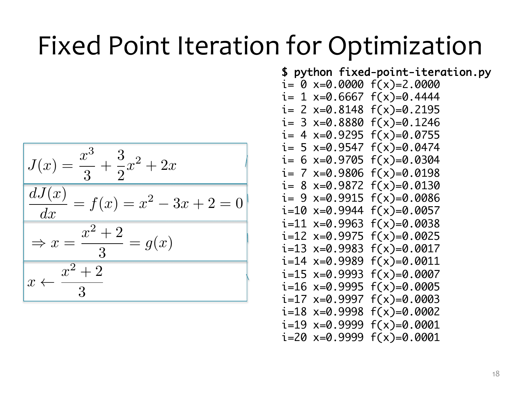$$
J(x) = \frac{x^3}{3} + \frac{3}{2}x^2 + 2x
$$
  

$$
\frac{dJ(x)}{dx} = f(x) = x^2 - 3x + 2 = 0
$$
  

$$
\Rightarrow x = \frac{x^2 + 2}{3} = g(x)
$$
  

$$
x \leftarrow \frac{x^2 + 2}{3}
$$

\$ python fixed-point-iteration.py  $i= 0$  x=0.0000  $f(x)=2.0000$  $i= 1$  x=0.6667  $f(x)=0.4444$  $i= 2$  x=0.8148  $f(x)=0.2195$  $i= 3$  x=0.8880  $f(x)=0.1246$  $i= 4$  x=0.9295  $f(x)=0.0755$  $i= 5$  x=0.9547  $f(x)=0.0474$  $i= 6$  x=0.9705  $f(x)=0.0304$  $i= 7$  x=0.9806  $f(x)=0.0198$  $i= 8$  x=0.9872  $f(x)=0.0130$  $i= 9$  x=0.9915  $f(x)=0.0086$  $i=10$  x=0.9944  $f(x)=0.0057$  $i=11$  x=0.9963  $f(x)=0.0038$  $i=12$  x=0.9975  $f(x)=0.0025$  $i=13$  x=0.9983  $f(x)=0.0017$  $i=14$  x=0.9989  $f(x)=0.0011$  $i=15$  x=0.9993  $f(x)=0.0007$  $i=16$  x=0.9995  $f(x)=0.0005$  $i=17$  x=0.9997  $f(x)=0.0003$  $i=18$  x=0.9998  $f(x)=0.0002$  $i=19$  x=0.9999  $f(x)=0.0001$  $i=20$   $x=0.9999$   $f(x)=0.0001$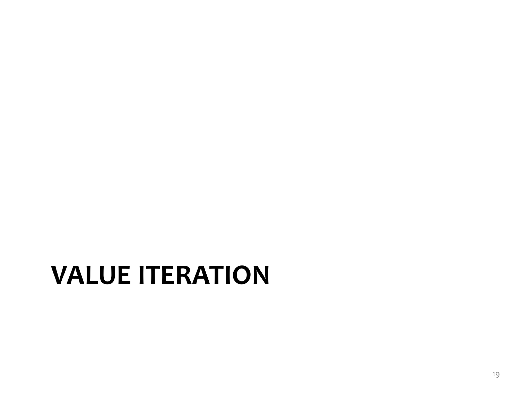#### **VALUE ITERATION**